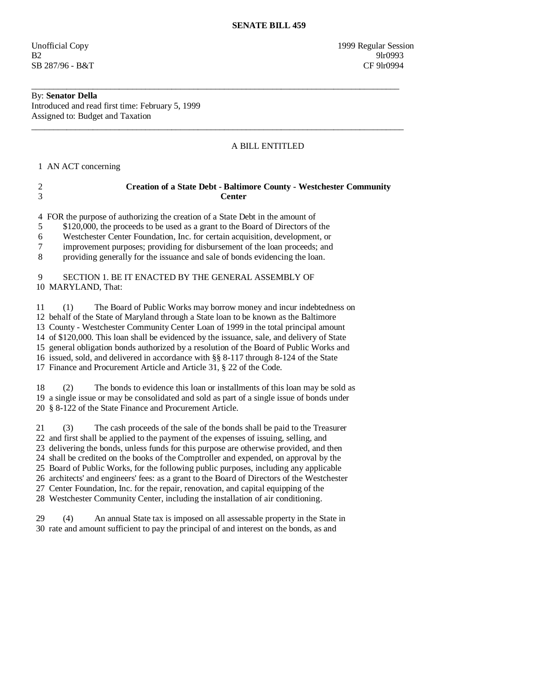Unofficial Copy 1999 Regular Session B2 9lr0993 SB 287/96 - B&T CF 9lr0994

## By: **Senator Della**

Introduced and read first time: February 5, 1999 Assigned to: Budget and Taxation

## A BILL ENTITLED

1 AN ACT concerning

# 2 **Creation of a State Debt - Baltimore County - Westchester Community**  3 **Center**

\_\_\_\_\_\_\_\_\_\_\_\_\_\_\_\_\_\_\_\_\_\_\_\_\_\_\_\_\_\_\_\_\_\_\_\_\_\_\_\_\_\_\_\_\_\_\_\_\_\_\_\_\_\_\_\_\_\_\_\_\_\_\_\_\_\_\_\_\_\_\_\_\_\_\_\_\_\_\_\_\_\_\_\_

 $\overline{\phantom{a}}$  ,  $\overline{\phantom{a}}$  ,  $\overline{\phantom{a}}$  ,  $\overline{\phantom{a}}$  ,  $\overline{\phantom{a}}$  ,  $\overline{\phantom{a}}$  ,  $\overline{\phantom{a}}$  ,  $\overline{\phantom{a}}$  ,  $\overline{\phantom{a}}$  ,  $\overline{\phantom{a}}$  ,  $\overline{\phantom{a}}$  ,  $\overline{\phantom{a}}$  ,  $\overline{\phantom{a}}$  ,  $\overline{\phantom{a}}$  ,  $\overline{\phantom{a}}$  ,  $\overline{\phantom{a}}$ 

4 FOR the purpose of authorizing the creation of a State Debt in the amount of

5 \$120,000, the proceeds to be used as a grant to the Board of Directors of the

6 Westchester Center Foundation, Inc. for certain acquisition, development, or

7 improvement purposes; providing for disbursement of the loan proceeds; and

8 providing generally for the issuance and sale of bonds evidencing the loan.

#### 9 SECTION 1. BE IT ENACTED BY THE GENERAL ASSEMBLY OF 10 MARYLAND, That:

 11 (1) The Board of Public Works may borrow money and incur indebtedness on 12 behalf of the State of Maryland through a State loan to be known as the Baltimore 13 County - Westchester Community Center Loan of 1999 in the total principal amount 14 of \$120,000. This loan shall be evidenced by the issuance, sale, and delivery of State 15 general obligation bonds authorized by a resolution of the Board of Public Works and 16 issued, sold, and delivered in accordance with §§ 8-117 through 8-124 of the State 17 Finance and Procurement Article and Article 31, § 22 of the Code.

 18 (2) The bonds to evidence this loan or installments of this loan may be sold as 19 a single issue or may be consolidated and sold as part of a single issue of bonds under 20 § 8-122 of the State Finance and Procurement Article.

 21 (3) The cash proceeds of the sale of the bonds shall be paid to the Treasurer 22 and first shall be applied to the payment of the expenses of issuing, selling, and 23 delivering the bonds, unless funds for this purpose are otherwise provided, and then 24 shall be credited on the books of the Comptroller and expended, on approval by the 25 Board of Public Works, for the following public purposes, including any applicable 26 architects' and engineers' fees: as a grant to the Board of Directors of the Westchester 27 Center Foundation, Inc. for the repair, renovation, and capital equipping of the

28 Westchester Community Center, including the installation of air conditioning.

 29 (4) An annual State tax is imposed on all assessable property in the State in 30 rate and amount sufficient to pay the principal of and interest on the bonds, as and